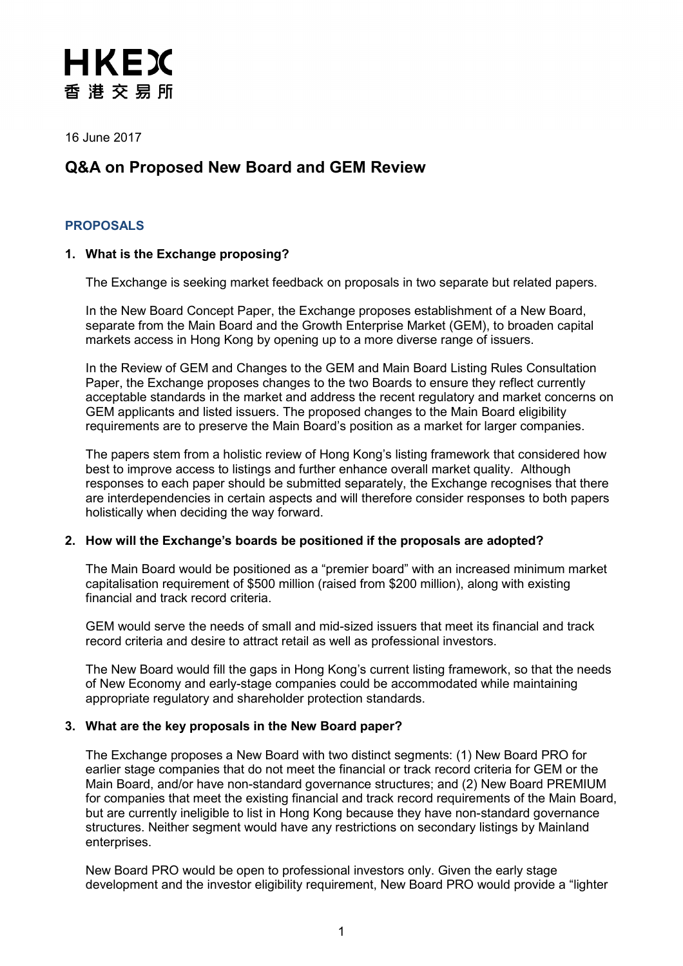16 June 2017

# **Q&A on Proposed New Board and GEM Review**

# **PROPOSALS**

# **1. What is the Exchange proposing?**

The Exchange is seeking market feedback on proposals in two separate but related papers.

In the New Board Concept Paper, the Exchange proposes establishment of a New Board, separate from the Main Board and the Growth Enterprise Market (GEM), to broaden capital markets access in Hong Kong by opening up to a more diverse range of issuers.

In the Review of GEM and Changes to the GEM and Main Board Listing Rules Consultation Paper, the Exchange proposes changes to the two Boards to ensure they reflect currently acceptable standards in the market and address the recent regulatory and market concerns on GEM applicants and listed issuers. The proposed changes to the Main Board eligibility requirements are to preserve the Main Board's position as a market for larger companies.

The papers stem from a holistic review of Hong Kong's listing framework that considered how best to improve access to listings and further enhance overall market quality. Although responses to each paper should be submitted separately, the Exchange recognises that there are interdependencies in certain aspects and will therefore consider responses to both papers holistically when deciding the way forward.

### **2. How will the Exchange's boards be positioned if the proposals are adopted?**

The Main Board would be positioned as a "premier board" with an increased minimum market capitalisation requirement of \$500 million (raised from \$200 million), along with existing financial and track record criteria.

GEM would serve the needs of small and mid-sized issuers that meet its financial and track record criteria and desire to attract retail as well as professional investors.

The New Board would fill the gaps in Hong Kong's current listing framework, so that the needs of New Economy and early-stage companies could be accommodated while maintaining appropriate regulatory and shareholder protection standards.

### **3. What are the key proposals in the New Board paper?**

The Exchange proposes a New Board with two distinct segments: (1) New Board PRO for earlier stage companies that do not meet the financial or track record criteria for GEM or the Main Board, and/or have non-standard governance structures; and (2) New Board PREMIUM for companies that meet the existing financial and track record requirements of the Main Board, but are currently ineligible to list in Hong Kong because they have non-standard governance structures. Neither segment would have any restrictions on secondary listings by Mainland enterprises.

New Board PRO would be open to professional investors only. Given the early stage development and the investor eligibility requirement, New Board PRO would provide a "lighter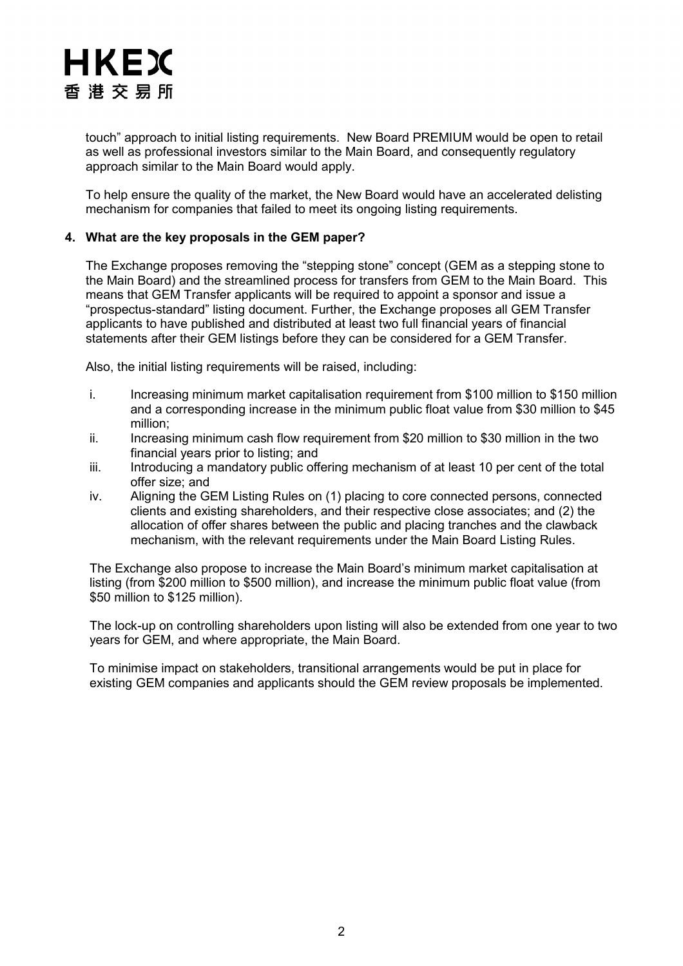touch" approach to initial listing requirements. New Board PREMIUM would be open to retail as well as professional investors similar to the Main Board, and consequently regulatory approach similar to the Main Board would apply.

To help ensure the quality of the market, the New Board would have an accelerated delisting mechanism for companies that failed to meet its ongoing listing requirements.

## **4. What are the key proposals in the GEM paper?**

The Exchange proposes removing the "stepping stone" concept (GEM as a stepping stone to the Main Board) and the streamlined process for transfers from GEM to the Main Board. This means that GEM Transfer applicants will be required to appoint a sponsor and issue a "prospectus-standard" listing document. Further, the Exchange proposes all GEM Transfer applicants to have published and distributed at least two full financial years of financial statements after their GEM listings before they can be considered for a GEM Transfer.

Also, the initial listing requirements will be raised, including:

- i. Increasing minimum market capitalisation requirement from \$100 million to \$150 million and a corresponding increase in the minimum public float value from \$30 million to \$45 million;
- ii. Increasing minimum cash flow requirement from \$20 million to \$30 million in the two financial years prior to listing; and
- iii. Introducing a mandatory public offering mechanism of at least 10 per cent of the total offer size; and
- iv. Aligning the GEM Listing Rules on (1) placing to core connected persons, connected clients and existing shareholders, and their respective close associates; and (2) the allocation of offer shares between the public and placing tranches and the clawback mechanism, with the relevant requirements under the Main Board Listing Rules.

The Exchange also propose to increase the Main Board's minimum market capitalisation at listing (from \$200 million to \$500 million), and increase the minimum public float value (from \$50 million to \$125 million).

The lock-up on controlling shareholders upon listing will also be extended from one year to two years for GEM, and where appropriate, the Main Board.

To minimise impact on stakeholders, transitional arrangements would be put in place for existing GEM companies and applicants should the GEM review proposals be implemented.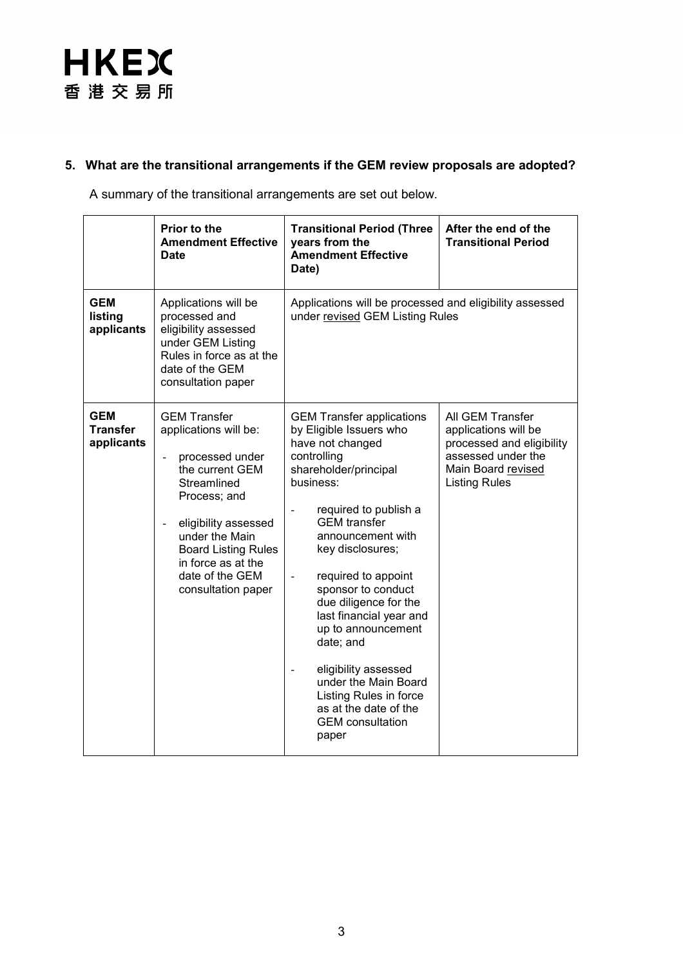# **5. What are the transitional arrangements if the GEM review proposals are adopted?**

A summary of the transitional arrangements are set out below.

|                                      | Prior to the<br><b>Amendment Effective</b><br><b>Date</b>                                                                                                                                                                                                                                    | <b>Transitional Period (Three</b><br>years from the<br><b>Amendment Effective</b><br>Date)                                                                                                                                                                                                                                                                                                                                                                                                                                                                                         | After the end of the<br><b>Transitional Period</b>                                                                                        |
|--------------------------------------|----------------------------------------------------------------------------------------------------------------------------------------------------------------------------------------------------------------------------------------------------------------------------------------------|------------------------------------------------------------------------------------------------------------------------------------------------------------------------------------------------------------------------------------------------------------------------------------------------------------------------------------------------------------------------------------------------------------------------------------------------------------------------------------------------------------------------------------------------------------------------------------|-------------------------------------------------------------------------------------------------------------------------------------------|
| <b>GEM</b><br>listing<br>applicants  | Applications will be<br>processed and<br>eligibility assessed<br>under GEM Listing<br>Rules in force as at the<br>date of the GEM<br>consultation paper                                                                                                                                      | Applications will be processed and eligibility assessed<br>under revised GEM Listing Rules                                                                                                                                                                                                                                                                                                                                                                                                                                                                                         |                                                                                                                                           |
| <b>GEM</b><br>Transfer<br>applicants | <b>GEM Transfer</b><br>applications will be:<br>processed under<br>$\overline{a}$<br>the current GEM<br>Streamlined<br>Process; and<br>eligibility assessed<br>$\blacksquare$<br>under the Main<br><b>Board Listing Rules</b><br>in force as at the<br>date of the GEM<br>consultation paper | <b>GEM Transfer applications</b><br>by Eligible Issuers who<br>have not changed<br>controlling<br>shareholder/principal<br>business:<br>required to publish a<br>$\overline{\phantom{a}}$<br><b>GEM</b> transfer<br>announcement with<br>key disclosures;<br>required to appoint<br>$\blacksquare$<br>sponsor to conduct<br>due diligence for the<br>last financial year and<br>up to announcement<br>date; and<br>eligibility assessed<br>$\overline{\phantom{a}}$<br>under the Main Board<br>Listing Rules in force<br>as at the date of the<br><b>GEM</b> consultation<br>paper | All GEM Transfer<br>applications will be<br>processed and eligibility<br>assessed under the<br>Main Board revised<br><b>Listing Rules</b> |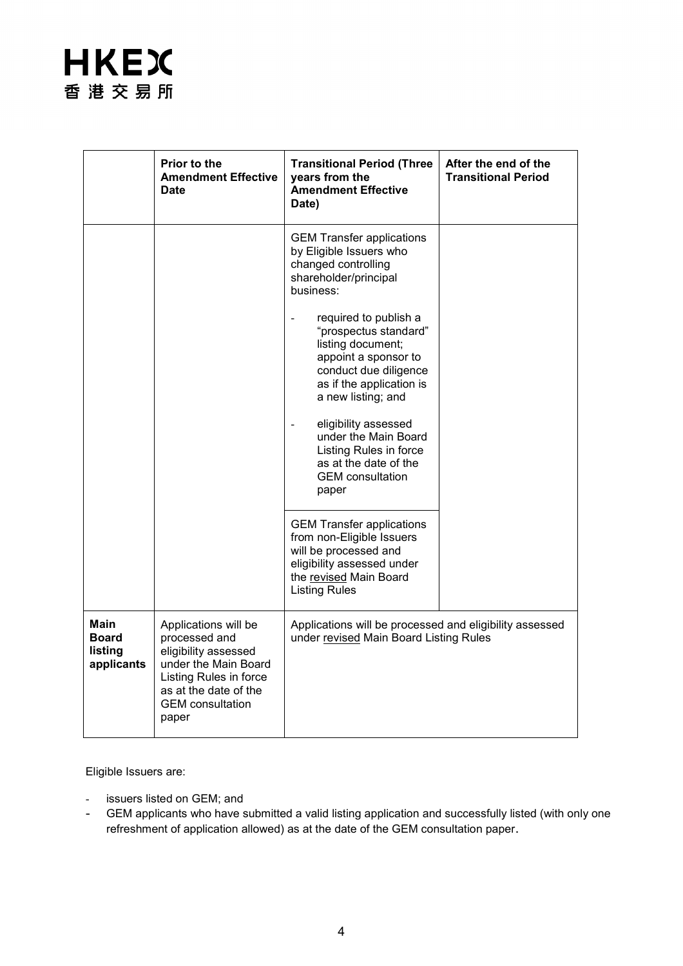|                                                      | Prior to the<br><b>Amendment Effective</b><br><b>Date</b>                                                                                                                    | <b>Transitional Period (Three</b><br>years from the<br><b>Amendment Effective</b><br>Date)                                                                                                                                                                                                                                                                                                                                                | After the end of the<br><b>Transitional Period</b> |
|------------------------------------------------------|------------------------------------------------------------------------------------------------------------------------------------------------------------------------------|-------------------------------------------------------------------------------------------------------------------------------------------------------------------------------------------------------------------------------------------------------------------------------------------------------------------------------------------------------------------------------------------------------------------------------------------|----------------------------------------------------|
|                                                      |                                                                                                                                                                              | <b>GEM Transfer applications</b><br>by Eligible Issuers who<br>changed controlling<br>shareholder/principal<br>business:<br>required to publish a<br>"prospectus standard"<br>listing document;<br>appoint a sponsor to<br>conduct due diligence<br>as if the application is<br>a new listing; and<br>eligibility assessed<br>under the Main Board<br>Listing Rules in force<br>as at the date of the<br><b>GEM</b> consultation<br>paper |                                                    |
|                                                      |                                                                                                                                                                              | <b>GEM Transfer applications</b><br>from non-Eligible Issuers<br>will be processed and<br>eligibility assessed under<br>the revised Main Board<br><b>Listing Rules</b>                                                                                                                                                                                                                                                                    |                                                    |
| <b>Main</b><br><b>Board</b><br>listing<br>applicants | Applications will be<br>processed and<br>eligibility assessed<br>under the Main Board<br>Listing Rules in force<br>as at the date of the<br><b>GEM</b> consultation<br>paper | Applications will be processed and eligibility assessed<br>under revised Main Board Listing Rules                                                                                                                                                                                                                                                                                                                                         |                                                    |

Eligible Issuers are:

- issuers listed on GEM; and
- GEM applicants who have submitted a valid listing application and successfully listed (with only one refreshment of application allowed) as at the date of the GEM consultation paper.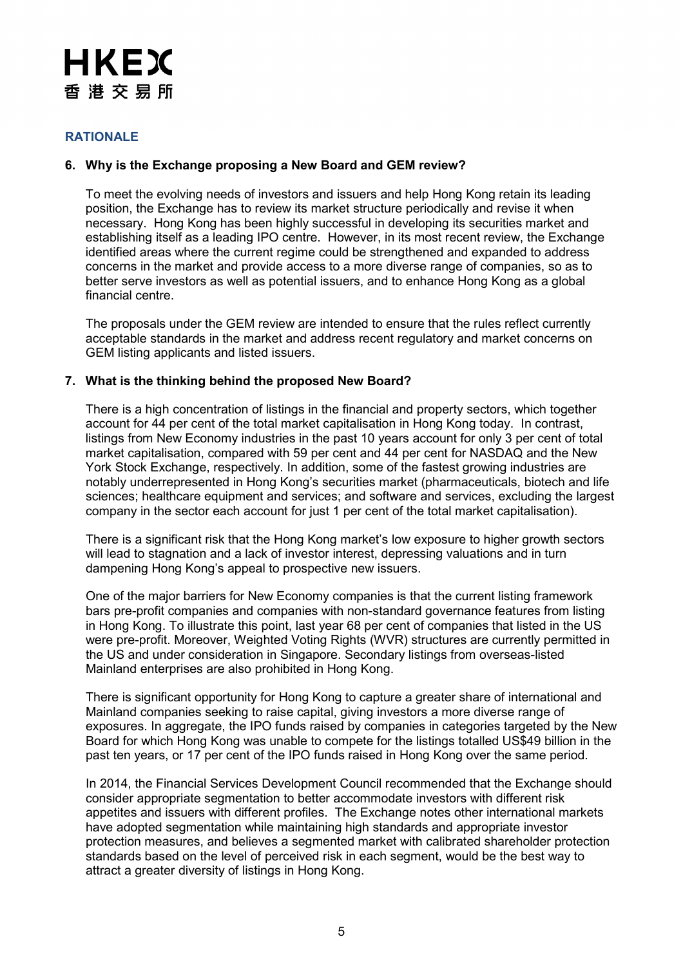# **RATIONALE**

# **6. Why is the Exchange proposing a New Board and GEM review?**

To meet the evolving needs of investors and issuers and help Hong Kong retain its leading position, the Exchange has to review its market structure periodically and revise it when necessary. Hong Kong has been highly successful in developing its securities market and establishing itself as a leading IPO centre. However, in its most recent review, the Exchange identified areas where the current regime could be strengthened and expanded to address concerns in the market and provide access to a more diverse range of companies, so as to better serve investors as well as potential issuers, and to enhance Hong Kong as a global financial centre.

The proposals under the GEM review are intended to ensure that the rules reflect currently acceptable standards in the market and address recent regulatory and market concerns on GEM listing applicants and listed issuers.

### **7. What is the thinking behind the proposed New Board?**

There is a high concentration of listings in the financial and property sectors, which together account for 44 per cent of the total market capitalisation in Hong Kong today. In contrast, listings from New Economy industries in the past 10 years account for only 3 per cent of total market capitalisation, compared with 59 per cent and 44 per cent for NASDAQ and the New York Stock Exchange, respectively. In addition, some of the fastest growing industries are notably underrepresented in Hong Kong's securities market (pharmaceuticals, biotech and life sciences; healthcare equipment and services; and software and services, excluding the largest company in the sector each account for just 1 per cent of the total market capitalisation).

There is a significant risk that the Hong Kong market's low exposure to higher growth sectors will lead to stagnation and a lack of investor interest, depressing valuations and in turn dampening Hong Kong's appeal to prospective new issuers.

One of the major barriers for New Economy companies is that the current listing framework bars pre-profit companies and companies with non-standard governance features from listing in Hong Kong. To illustrate this point, last year 68 per cent of companies that listed in the US were pre-profit. Moreover, Weighted Voting Rights (WVR) structures are currently permitted in the US and under consideration in Singapore. Secondary listings from overseas-listed Mainland enterprises are also prohibited in Hong Kong.

There is significant opportunity for Hong Kong to capture a greater share of international and Mainland companies seeking to raise capital, giving investors a more diverse range of exposures. In aggregate, the IPO funds raised by companies in categories targeted by the New Board for which Hong Kong was unable to compete for the listings totalled US\$49 billion in the past ten years, or 17 per cent of the IPO funds raised in Hong Kong over the same period.

In 2014, the Financial Services Development Council recommended that the Exchange should consider appropriate segmentation to better accommodate investors with different risk appetites and issuers with different profiles. The Exchange notes other international markets have adopted segmentation while maintaining high standards and appropriate investor protection measures, and believes a segmented market with calibrated shareholder protection standards based on the level of perceived risk in each segment, would be the best way to attract a greater diversity of listings in Hong Kong.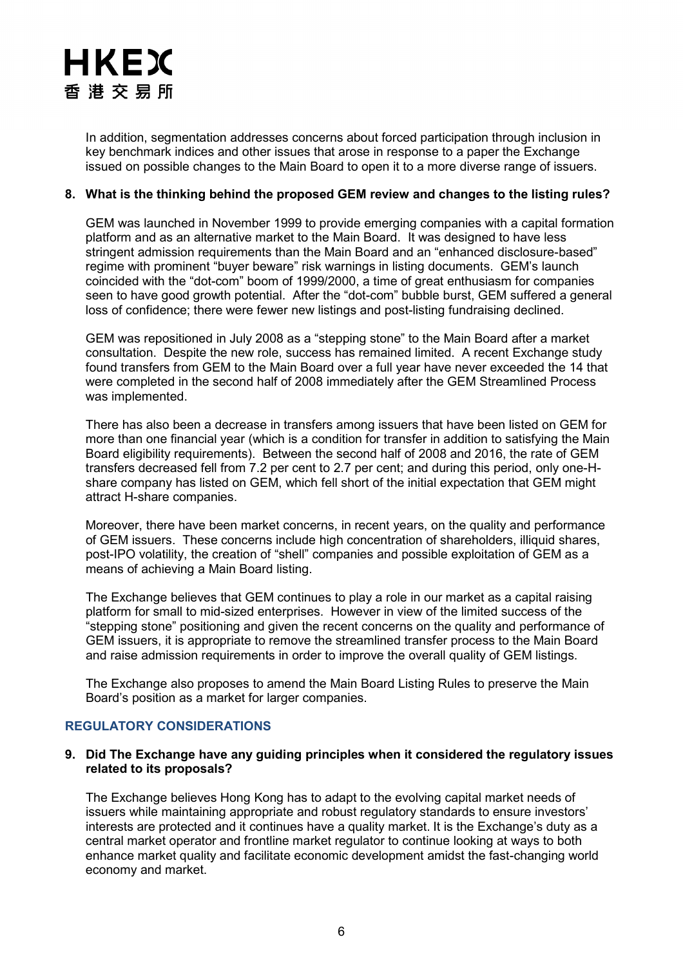In addition, segmentation addresses concerns about forced participation through inclusion in key benchmark indices and other issues that arose in response to a paper the Exchange issued on possible changes to the Main Board to open it to a more diverse range of issuers.

# **8. What is the thinking behind the proposed GEM review and changes to the listing rules?**

GEM was launched in November 1999 to provide emerging companies with a capital formation platform and as an alternative market to the Main Board. It was designed to have less stringent admission requirements than the Main Board and an "enhanced disclosure-based" regime with prominent "buyer beware" risk warnings in listing documents. GEM's launch coincided with the "dot-com" boom of 1999/2000, a time of great enthusiasm for companies seen to have good growth potential. After the "dot-com" bubble burst, GEM suffered a general loss of confidence; there were fewer new listings and post-listing fundraising declined.

GEM was repositioned in July 2008 as a "stepping stone" to the Main Board after a market consultation. Despite the new role, success has remained limited. A recent Exchange study found transfers from GEM to the Main Board over a full year have never exceeded the 14 that were completed in the second half of 2008 immediately after the GEM Streamlined Process was implemented.

There has also been a decrease in transfers among issuers that have been listed on GEM for more than one financial year (which is a condition for transfer in addition to satisfying the Main Board eligibility requirements). Between the second half of 2008 and 2016, the rate of GEM transfers decreased fell from 7.2 per cent to 2.7 per cent; and during this period, only one-Hshare company has listed on GEM, which fell short of the initial expectation that GEM might attract H-share companies.

Moreover, there have been market concerns, in recent years, on the quality and performance of GEM issuers. These concerns include high concentration of shareholders, illiquid shares, post-IPO volatility, the creation of "shell" companies and possible exploitation of GEM as a means of achieving a Main Board listing.

The Exchange believes that GEM continues to play a role in our market as a capital raising platform for small to mid-sized enterprises. However in view of the limited success of the "stepping stone" positioning and given the recent concerns on the quality and performance of GEM issuers, it is appropriate to remove the streamlined transfer process to the Main Board and raise admission requirements in order to improve the overall quality of GEM listings.

The Exchange also proposes to amend the Main Board Listing Rules to preserve the Main Board's position as a market for larger companies.

# **REGULATORY CONSIDERATIONS**

### **9. Did The Exchange have any guiding principles when it considered the regulatory issues related to its proposals?**

The Exchange believes Hong Kong has to adapt to the evolving capital market needs of issuers while maintaining appropriate and robust regulatory standards to ensure investors' interests are protected and it continues have a quality market. It is the Exchange's duty as a central market operator and frontline market regulator to continue looking at ways to both enhance market quality and facilitate economic development amidst the fast-changing world economy and market.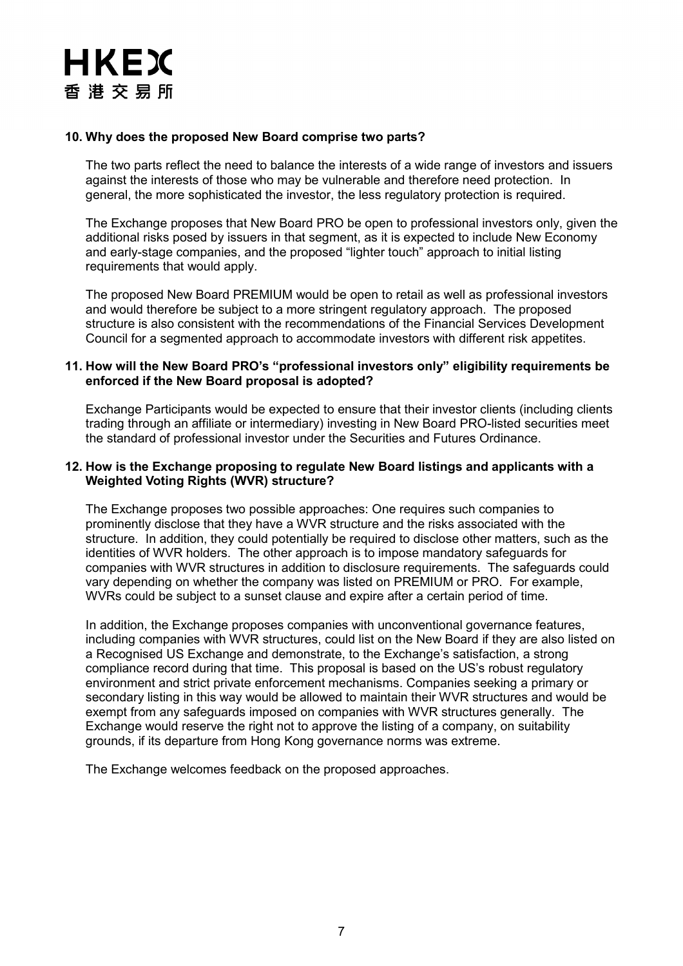

### **10. Why does the proposed New Board comprise two parts?**

The two parts reflect the need to balance the interests of a wide range of investors and issuers against the interests of those who may be vulnerable and therefore need protection. In general, the more sophisticated the investor, the less regulatory protection is required.

The Exchange proposes that New Board PRO be open to professional investors only, given the additional risks posed by issuers in that segment, as it is expected to include New Economy and early-stage companies, and the proposed "lighter touch" approach to initial listing requirements that would apply.

The proposed New Board PREMIUM would be open to retail as well as professional investors and would therefore be subject to a more stringent regulatory approach. The proposed structure is also consistent with the recommendations of the Financial Services Development Council for a segmented approach to accommodate investors with different risk appetites.

### **11. How will the New Board PRO's "professional investors only" eligibility requirements be enforced if the New Board proposal is adopted?**

Exchange Participants would be expected to ensure that their investor clients (including clients trading through an affiliate or intermediary) investing in New Board PRO-listed securities meet the standard of professional investor under the Securities and Futures Ordinance.

### **12. How is the Exchange proposing to regulate New Board listings and applicants with a Weighted Voting Rights (WVR) structure?**

The Exchange proposes two possible approaches: One requires such companies to prominently disclose that they have a WVR structure and the risks associated with the structure. In addition, they could potentially be required to disclose other matters, such as the identities of WVR holders. The other approach is to impose mandatory safeguards for companies with WVR structures in addition to disclosure requirements. The safeguards could vary depending on whether the company was listed on PREMIUM or PRO. For example, WVRs could be subject to a sunset clause and expire after a certain period of time.

In addition, the Exchange proposes companies with unconventional governance features, including companies with WVR structures, could list on the New Board if they are also listed on a Recognised US Exchange and demonstrate, to the Exchange's satisfaction, a strong compliance record during that time. This proposal is based on the US's robust regulatory environment and strict private enforcement mechanisms. Companies seeking a primary or secondary listing in this way would be allowed to maintain their WVR structures and would be exempt from any safeguards imposed on companies with WVR structures generally. The Exchange would reserve the right not to approve the listing of a company, on suitability grounds, if its departure from Hong Kong governance norms was extreme.

The Exchange welcomes feedback on the proposed approaches.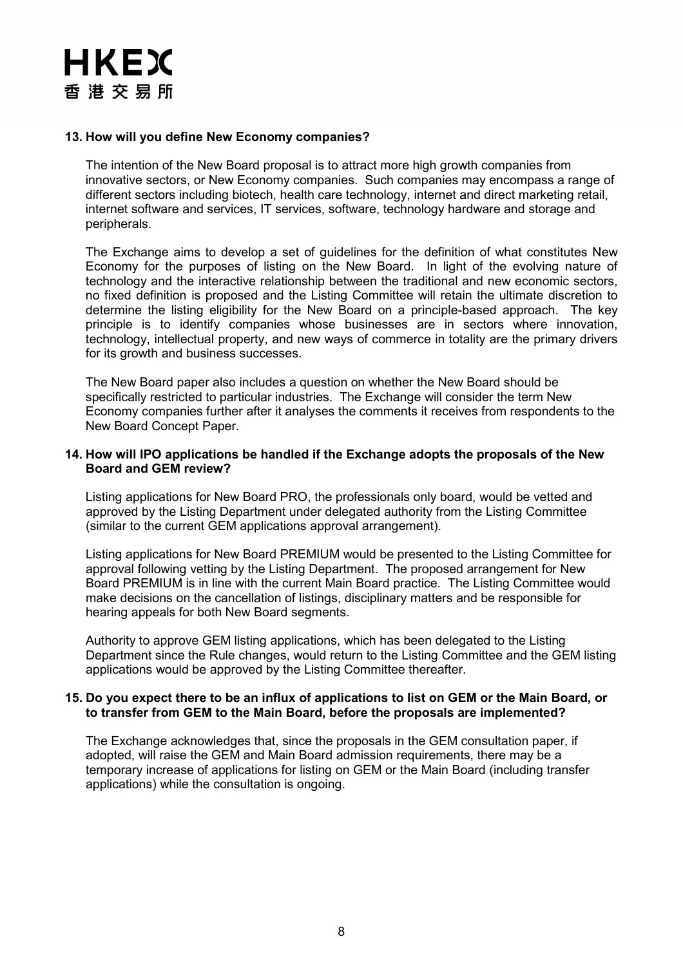### **13. How will you define New Economy companies?**

The intention of the New Board proposal is to attract more high growth companies from innovative sectors, or New Economy companies. Such companies may encompass a range of different sectors including biotech, health care technology, internet and direct marketing retail, internet software and services, IT services, software, technology hardware and storage and peripherals.

The Exchange aims to develop a set of guidelines for the definition of what constitutes New Economy for the purposes of listing on the New Board. In light of the evolving nature of technology and the interactive relationship between the traditional and new economic sectors, no fixed definition is proposed and the Listing Committee will retain the ultimate discretion to determine the listing eligibility for the New Board on a principle-based approach. The key principle is to identify companies whose businesses are in sectors where innovation, technology, intellectual property, and new ways of commerce in totality are the primary drivers for its growth and business successes.

The New Board paper also includes a question on whether the New Board should be specifically restricted to particular industries. The Exchange will consider the term New Economy companies further after it analyses the comments it receives from respondents to the New Board Concept Paper.

### **14. How will IPO applications be handled if the Exchange adopts the proposals of the New Board and GEM review?**

Listing applications for New Board PRO, the professionals only board, would be vetted and approved by the Listing Department under delegated authority from the Listing Committee (similar to the current GEM applications approval arrangement).

Listing applications for New Board PREMIUM would be presented to the Listing Committee for approval following vetting by the Listing Department. The proposed arrangement for New Board PREMIUM is in line with the current Main Board practice. The Listing Committee would make decisions on the cancellation of listings, disciplinary matters and be responsible for hearing appeals for both New Board segments.

Authority to approve GEM listing applications, which has been delegated to the Listing Department since the Rule changes, would return to the Listing Committee and the GEM listing applications would be approved by the Listing Committee thereafter.

### **15. Do you expect there to be an influx of applications to list on GEM or the Main Board, or to transfer from GEM to the Main Board, before the proposals are implemented?**

The Exchange acknowledges that, since the proposals in the GEM consultation paper, if adopted, will raise the GEM and Main Board admission requirements, there may be a temporary increase of applications for listing on GEM or the Main Board (including transfer applications) while the consultation is ongoing.